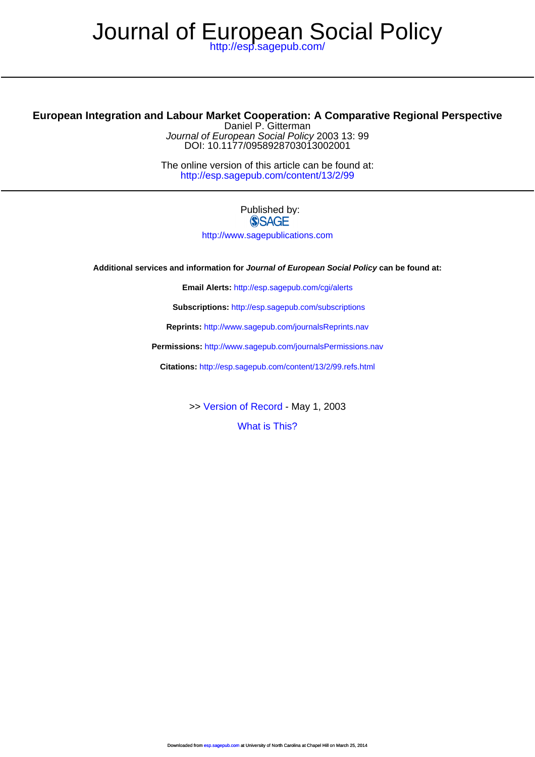# <http://esp.sagepub.com/> Journal of European Social Policy

# **European Integration and Labour Market Cooperation: A Comparative Regional Perspective**

DOI: 10.1177/0958928703013002001 Journal of European Social Policy 2003 13: 99 Daniel P. Gitterman

<http://esp.sagepub.com/content/13/2/99> The online version of this article can be found at:

### Published by: **SSAGE**

<http://www.sagepublications.com>

**Additional services and information for Journal of European Social Policy can be found at:**

**Email Alerts:** <http://esp.sagepub.com/cgi/alerts>

**Subscriptions:** <http://esp.sagepub.com/subscriptions>

**Reprints:** <http://www.sagepub.com/journalsReprints.nav>

**Permissions:** <http://www.sagepub.com/journalsPermissions.nav>

**Citations:** <http://esp.sagepub.com/content/13/2/99.refs.html>

>> [Version of Record -](http://esp.sagepub.com/content/13/2/99.full.pdf) May 1, 2003

[What is This?](http://online.sagepub.com/site/sphelp/vorhelp.xhtml)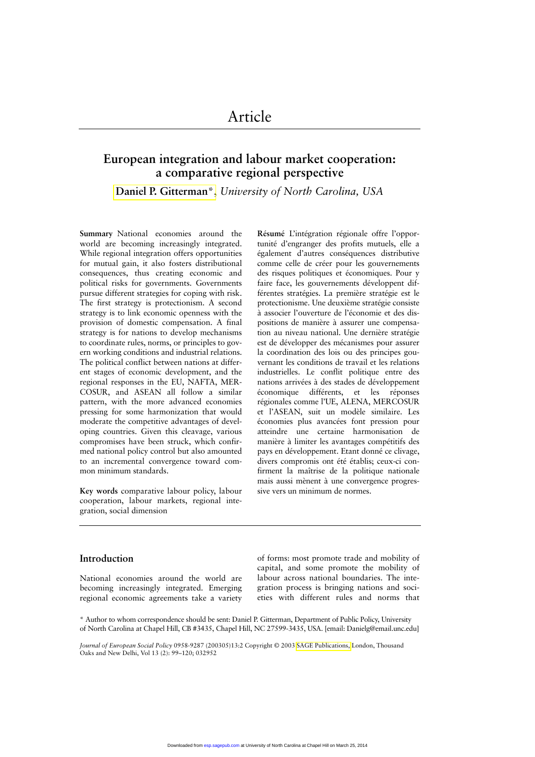# **European integration and labour market cooperation: a comparative regional perspective**

**Daniel P. Gitterman**\*, *University of North Carolina, USA*

**Summary** National economies around the world are becoming increasingly integrated. While regional integration offers opportunities for mutual gain, it also fosters distributional consequences, thus creating economic and political risks for governments. Governments pursue different strategies for coping with risk. The first strategy is protectionism. A second strategy is to link economic openness with the provision of domestic compensation. A final strategy is for nations to develop mechanisms to coordinate rules, norms, or principles to govern working conditions and industrial relations. The political conflict between nations at different stages of economic development, and the regional responses in the EU, NAFTA, MER-COSUR, and ASEAN all follow a similar pattern, with the more advanced economies pressing for some harmonization that would moderate the competitive advantages of developing countries. Given this cleavage, various compromises have been struck, which confirmed national policy control but also amounted to an incremental convergence toward common minimum standards.

**Key words** comparative labour policy, labour cooperation, labour markets, regional integration, social dimension

**Résumé** L'intégration régionale offre l'opportunité d'engranger des profits mutuels, elle a également d'autres conséquences distributive comme celle de créer pour les gouvernements des risques politiques et économiques. Pour y faire face, les gouvernements développent différentes stratégies. La première stratégie est le protectionisme. Une deuxième stratégie consiste à associer l'ouverture de l'économie et des dispositions de manière à assurer une compensation au niveau national. Une dernière stratégie est de développer des mécanismes pour assurer la coordination des lois ou des principes gouvernant les conditions de travail et les relations industrielles. Le conflit politique entre des nations arrivées à des stades de développement économique différents, et les réponses régionales comme l'UE, ALENA, MERCOSUR et l'ASEAN, suit un modèle similaire. Les économies plus avancées font pression pour atteindre une certaine harmonisation de manière à limiter les avantages compétitifs des pays en développement. Etant donné ce clivage, divers compromis ont été établis; ceux-ci confirment la maîtrise de la politique nationale mais aussi mènent à une convergence progressive vers un minimum de normes.

#### **Introduction**

National economies around the world are becoming increasingly integrated. Emerging regional economic agreements take a variety

of forms: most promote trade and mobility of capital, and some promote the mobility of labour across national boundaries. The integration process is bringing nations and societies with different rules and norms that

\* Author to whom correspondence should be sent: Daniel P. Gitterman, Department of Public Policy, University of North Carolina at Chapel Hill, CB #3435, Chapel Hill, NC 27599-3435, USA. [email: Danielg@email.unc.edu]

*Journal of European Social Policy* 0958-9287 (200305)13:2 Copyright © 2003 [SAGE Publications,](www.sagepublications.com) London, Thousand Oaks and New Delhi, Vol 13 (2): 99–120; 032952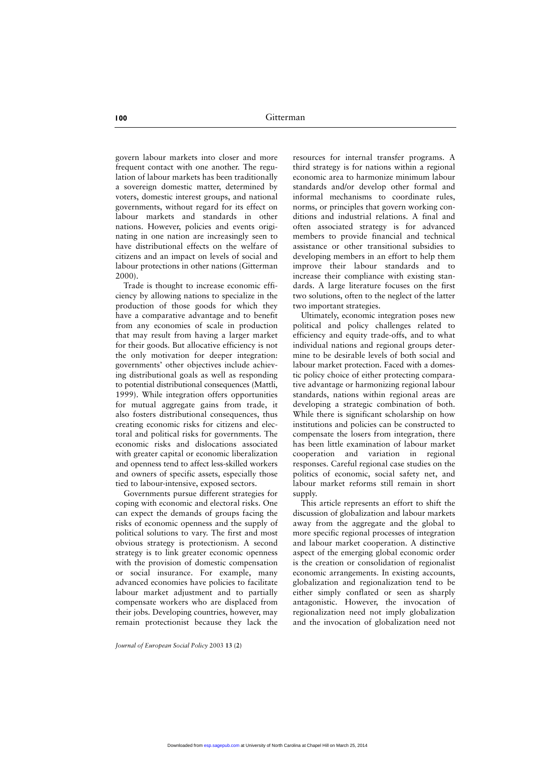govern labour markets into closer and more frequent contact with one another. The regulation of labour markets has been traditionally a sovereign domestic matter, determined by voters, domestic interest groups, and national governments, without regard for its effect on labour markets and standards in other nations. However, policies and events originating in one nation are increasingly seen to have distributional effects on the welfare of citizens and an impact on levels of social and labour protections in other nations (Gitterman 2000).

Trade is thought to increase economic efficiency by allowing nations to specialize in the production of those goods for which they have a comparative advantage and to benefit from any economies of scale in production that may result from having a larger market for their goods. But allocative efficiency is not the only motivation for deeper integration: governments' other objectives include achieving distributional goals as well as responding to potential distributional consequences (Mattli, 1999). While integration offers opportunities for mutual aggregate gains from trade, it also fosters distributional consequences, thus creating economic risks for citizens and electoral and political risks for governments. The economic risks and dislocations associated with greater capital or economic liberalization and openness tend to affect less-skilled workers and owners of specific assets, especially those tied to labour-intensive, exposed sectors.

Governments pursue different strategies for coping with economic and electoral risks. One can expect the demands of groups facing the risks of economic openness and the supply of political solutions to vary. The first and most obvious strategy is protectionism. A second strategy is to link greater economic openness with the provision of domestic compensation or social insurance. For example, many advanced economies have policies to facilitate labour market adjustment and to partially compensate workers who are displaced from their jobs. Developing countries, however, may remain protectionist because they lack the

resources for internal transfer programs. A third strategy is for nations within a regional economic area to harmonize minimum labour standards and/or develop other formal and informal mechanisms to coordinate rules, norms, or principles that govern working conditions and industrial relations. A final and often associated strategy is for advanced members to provide financial and technical assistance or other transitional subsidies to developing members in an effort to help them improve their labour standards and to increase their compliance with existing standards. A large literature focuses on the first two solutions, often to the neglect of the latter two important strategies.

Ultimately, economic integration poses new political and policy challenges related to efficiency and equity trade-offs, and to what individual nations and regional groups determine to be desirable levels of both social and labour market protection. Faced with a domestic policy choice of either protecting comparative advantage or harmonizing regional labour standards, nations within regional areas are developing a strategic combination of both. While there is significant scholarship on how institutions and policies can be constructed to compensate the losers from integration, there has been little examination of labour market cooperation and variation in regional responses. Careful regional case studies on the politics of economic, social safety net, and labour market reforms still remain in short supply.

This article represents an effort to shift the discussion of globalization and labour markets away from the aggregate and the global to more specific regional processes of integration and labour market cooperation. A distinctive aspect of the emerging global economic order is the creation or consolidation of regionalist economic arrangements. In existing accounts, globalization and regionalization tend to be either simply conflated or seen as sharply antagonistic. However, the invocation of regionalization need not imply globalization and the invocation of globalization need not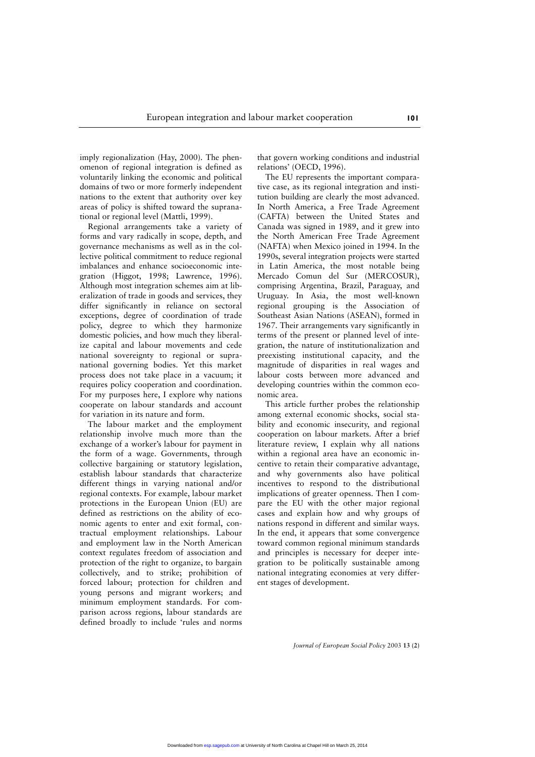imply regionalization (Hay, 2000). The phenomenon of regional integration is defined as voluntarily linking the economic and political domains of two or more formerly independent nations to the extent that authority over key areas of policy is shifted toward the supranational or regional level (Mattli, 1999).

Regional arrangements take a variety of forms and vary radically in scope, depth, and governance mechanisms as well as in the collective political commitment to reduce regional imbalances and enhance socioeconomic integration (Higgot, 1998; Lawrence, 1996). Although most integration schemes aim at liberalization of trade in goods and services, they differ significantly in reliance on sectoral exceptions, degree of coordination of trade policy, degree to which they harmonize domestic policies, and how much they liberalize capital and labour movements and cede national sovereignty to regional or supranational governing bodies. Yet this market process does not take place in a vacuum; it requires policy cooperation and coordination. For my purposes here, I explore why nations cooperate on labour standards and account for variation in its nature and form.

The labour market and the employment relationship involve much more than the exchange of a worker's labour for payment in the form of a wage. Governments, through collective bargaining or statutory legislation, establish labour standards that characterize different things in varying national and/or regional contexts. For example, labour market protections in the European Union (EU) are defined as restrictions on the ability of economic agents to enter and exit formal, contractual employment relationships. Labour and employment law in the North American context regulates freedom of association and protection of the right to organize, to bargain collectively, and to strike; prohibition of forced labour; protection for children and young persons and migrant workers; and minimum employment standards. For comparison across regions, labour standards are defined broadly to include 'rules and norms

that govern working conditions and industrial relations' (OECD, 1996).

The EU represents the important comparative case, as its regional integration and institution building are clearly the most advanced. In North America, a Free Trade Agreement (CAFTA) between the United States and Canada was signed in 1989, and it grew into the North American Free Trade Agreement (NAFTA) when Mexico joined in 1994. In the 1990s, several integration projects were started in Latin America, the most notable being Mercado Comun del Sur (MERCOSUR), comprising Argentina, Brazil, Paraguay, and Uruguay. In Asia, the most well-known regional grouping is the Association of Southeast Asian Nations (ASEAN), formed in 1967. Their arrangements vary significantly in terms of the present or planned level of integration, the nature of institutionalization and preexisting institutional capacity, and the magnitude of disparities in real wages and labour costs between more advanced and developing countries within the common economic area.

This article further probes the relationship among external economic shocks, social stability and economic insecurity, and regional cooperation on labour markets. After a brief literature review, I explain why all nations within a regional area have an economic incentive to retain their comparative advantage, and why governments also have political incentives to respond to the distributional implications of greater openness. Then I compare the EU with the other major regional cases and explain how and why groups of nations respond in different and similar ways. In the end, it appears that some convergence toward common regional minimum standards and principles is necessary for deeper integration to be politically sustainable among national integrating economies at very different stages of development.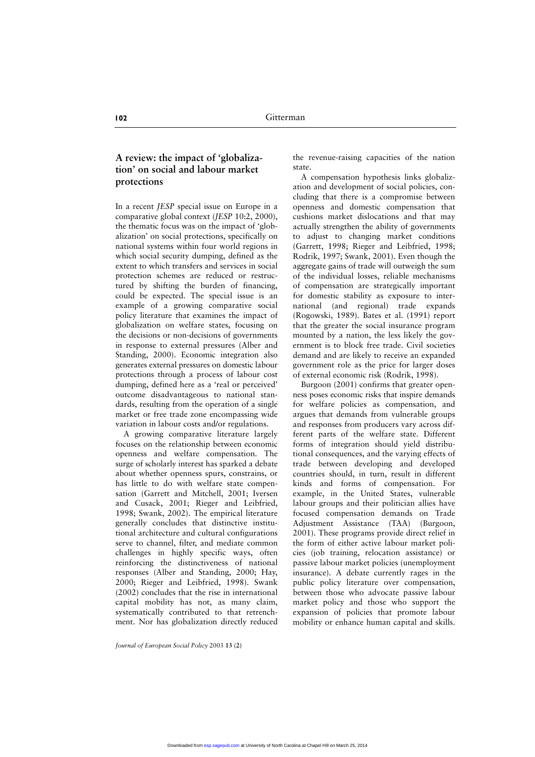# **A review: the impact of 'globalization' on social and labour market protections**

In a recent *JESP* special issue on Europe in a comparative global context (*JESP* 10:2, 2000), the thematic focus was on the impact of 'globalization' on social protections, specifically on national systems within four world regions in which social security dumping, defined as the extent to which transfers and services in social protection schemes are reduced or restructured by shifting the burden of financing, could be expected. The special issue is an example of a growing comparative social policy literature that examines the impact of globalization on welfare states, focusing on the decisions or non-decisions of governments in response to external pressures (Alber and Standing, 2000). Economic integration also generates external pressures on domestic labour protections through a process of labour cost dumping, defined here as a 'real or perceived' outcome disadvantageous to national standards, resulting from the operation of a single market or free trade zone encompassing wide variation in labour costs and/or regulations.

A growing comparative literature largely focuses on the relationship between economic openness and welfare compensation. The surge of scholarly interest has sparked a debate about whether openness spurs, constrains, or has little to do with welfare state compensation (Garrett and Mitchell, 2001; Iversen and Cusack, 2001; Rieger and Leibfried, 1998; Swank, 2002). The empirical literature generally concludes that distinctive institutional architecture and cultural configurations serve to channel, filter, and mediate common challenges in highly specific ways, often reinforcing the distinctiveness of national responses (Alber and Standing, 2000; Hay, 2000; Rieger and Leibfried, 1998). Swank (2002) concludes that the rise in international capital mobility has not, as many claim, systematically contributed to that retrenchment. Nor has globalization directly reduced the revenue-raising capacities of the nation state.

A compensation hypothesis links globalization and development of social policies, concluding that there is a compromise between openness and domestic compensation that cushions market dislocations and that may actually strengthen the ability of governments to adjust to changing market conditions (Garrett, 1998; Rieger and Leibfried, 1998; Rodrik, 1997; Swank, 2001). Even though the aggregate gains of trade will outweigh the sum of the individual losses, reliable mechanisms of compensation are strategically important for domestic stability as exposure to international (and regional) trade expands (Rogowski, 1989). Bates et al. (1991) report that the greater the social insurance program mounted by a nation, the less likely the government is to block free trade. Civil societies demand and are likely to receive an expanded government role as the price for larger doses of external economic risk (Rodrik, 1998).

Burgoon (2001) confirms that greater openness poses economic risks that inspire demands for welfare policies as compensation, and argues that demands from vulnerable groups and responses from producers vary across different parts of the welfare state. Different forms of integration should yield distributional consequences, and the varying effects of trade between developing and developed countries should, in turn, result in different kinds and forms of compensation. For example, in the United States, vulnerable labour groups and their politician allies have focused compensation demands on Trade Adjustment Assistance (TAA) (Burgoon, 2001). These programs provide direct relief in the form of either active labour market policies (job training, relocation assistance) or passive labour market policies (unemployment insurance). A debate currently rages in the public policy literature over compensation, between those who advocate passive labour market policy and those who support the expansion of policies that promote labour mobility or enhance human capital and skills.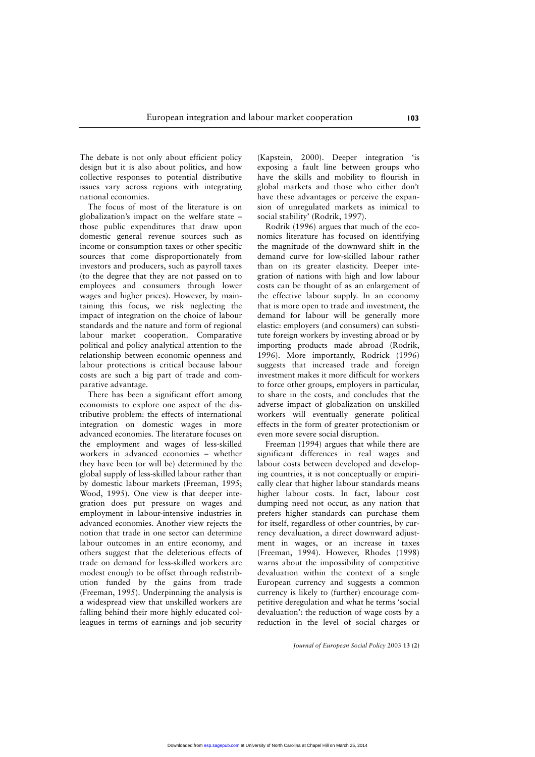The debate is not only about efficient policy design but it is also about politics, and how collective responses to potential distributive issues vary across regions with integrating national economies.

The focus of most of the literature is on globalization's impact on the welfare state – those public expenditures that draw upon domestic general revenue sources such as income or consumption taxes or other specific sources that come disproportionately from investors and producers, such as payroll taxes (to the degree that they are not passed on to employees and consumers through lower wages and higher prices). However, by maintaining this focus, we risk neglecting the impact of integration on the choice of labour standards and the nature and form of regional labour market cooperation. Comparative political and policy analytical attention to the relationship between economic openness and labour protections is critical because labour costs are such a big part of trade and comparative advantage.

There has been a significant effort among economists to explore one aspect of the distributive problem: the effects of international integration on domestic wages in more advanced economies. The literature focuses on the employment and wages of less-skilled workers in advanced economies – whether they have been (or will be) determined by the global supply of less-skilled labour rather than by domestic labour markets (Freeman, 1995; Wood, 1995). One view is that deeper integration does put pressure on wages and employment in labour-intensive industries in advanced economies. Another view rejects the notion that trade in one sector can determine labour outcomes in an entire economy, and others suggest that the deleterious effects of trade on demand for less-skilled workers are modest enough to be offset through redistribution funded by the gains from trade (Freeman, 1995). Underpinning the analysis is a widespread view that unskilled workers are falling behind their more highly educated colleagues in terms of earnings and job security

(Kapstein, 2000). Deeper integration 'is exposing a fault line between groups who have the skills and mobility to flourish in global markets and those who either don't have these advantages or perceive the expansion of unregulated markets as inimical to social stability' (Rodrik, 1997).

Rodrik (1996) argues that much of the economics literature has focused on identifying the magnitude of the downward shift in the demand curve for low-skilled labour rather than on its greater elasticity. Deeper integration of nations with high and low labour costs can be thought of as an enlargement of the effective labour supply. In an economy that is more open to trade and investment, the demand for labour will be generally more elastic: employers (and consumers) can substitute foreign workers by investing abroad or by importing products made abroad (Rodrik, 1996). More importantly, Rodrick (1996) suggests that increased trade and foreign investment makes it more difficult for workers to force other groups, employers in particular, to share in the costs, and concludes that the adverse impact of globalization on unskilled workers will eventually generate political effects in the form of greater protectionism or even more severe social disruption.

Freeman (1994) argues that while there are significant differences in real wages and labour costs between developed and developing countries, it is not conceptually or empirically clear that higher labour standards means higher labour costs. In fact, labour cost dumping need not occur, as any nation that prefers higher standards can purchase them for itself, regardless of other countries, by currency devaluation, a direct downward adjustment in wages, or an increase in taxes (Freeman, 1994). However, Rhodes (1998) warns about the impossibility of competitive devaluation within the context of a single European currency and suggests a common currency is likely to (further) encourage competitive deregulation and what he terms 'social devaluation': the reduction of wage costs by a reduction in the level of social charges or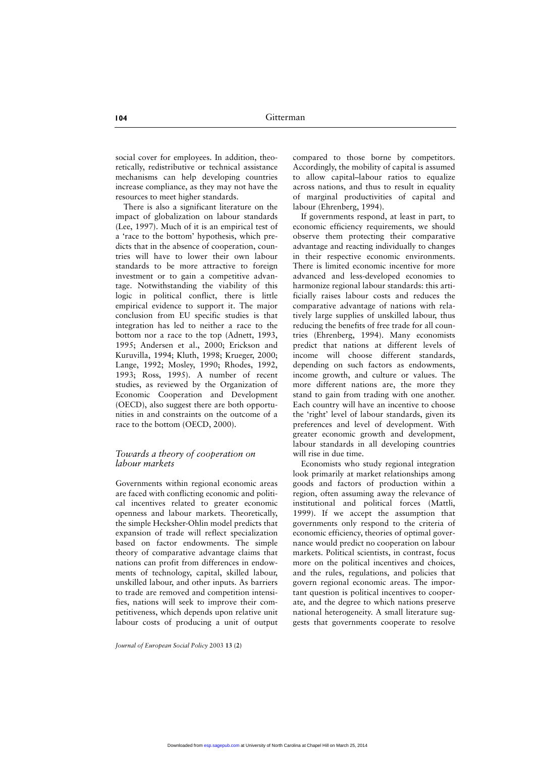social cover for employees. In addition, theoretically, redistributive or technical assistance mechanisms can help developing countries increase compliance, as they may not have the resources to meet higher standards.

There is also a significant literature on the impact of globalization on labour standards (Lee, 1997). Much of it is an empirical test of a 'race to the bottom' hypothesis, which predicts that in the absence of cooperation, countries will have to lower their own labour standards to be more attractive to foreign investment or to gain a competitive advantage. Notwithstanding the viability of this logic in political conflict, there is little empirical evidence to support it. The major conclusion from EU specific studies is that integration has led to neither a race to the bottom nor a race to the top (Adnett, 1993, 1995; Andersen et al., 2000; Erickson and Kuruvilla, 1994; Kluth, 1998; Krueger, 2000; Lange, 1992; Mosley, 1990; Rhodes, 1992, 1993; Ross, 1995). A number of recent studies, as reviewed by the Organization of Economic Cooperation and Development (OECD), also suggest there are both opportunities in and constraints on the outcome of a race to the bottom (OECD, 2000).

#### *Towards a theory of cooperation on labour markets*

Governments within regional economic areas are faced with conflicting economic and political incentives related to greater economic openness and labour markets. Theoretically, the simple Hecksher-Ohlin model predicts that expansion of trade will reflect specialization based on factor endowments. The simple theory of comparative advantage claims that nations can profit from differences in endowments of technology, capital, skilled labour, unskilled labour, and other inputs. As barriers to trade are removed and competition intensifies, nations will seek to improve their competitiveness, which depends upon relative unit labour costs of producing a unit of output

*Journal of European Social Policy* 2003 **13 (2)**

compared to those borne by competitors. Accordingly, the mobility of capital is assumed to allow capital–labour ratios to equalize across nations, and thus to result in equality of marginal productivities of capital and labour (Ehrenberg, 1994).

If governments respond, at least in part, to economic efficiency requirements, we should observe them protecting their comparative advantage and reacting individually to changes in their respective economic environments. There is limited economic incentive for more advanced and less-developed economies to harmonize regional labour standards: this artificially raises labour costs and reduces the comparative advantage of nations with relatively large supplies of unskilled labour, thus reducing the benefits of free trade for all countries (Ehrenberg, 1994). Many economists predict that nations at different levels of income will choose different standards, depending on such factors as endowments, income growth, and culture or values. The more different nations are, the more they stand to gain from trading with one another. Each country will have an incentive to choose the 'right' level of labour standards, given its preferences and level of development. With greater economic growth and development, labour standards in all developing countries will rise in due time.

Economists who study regional integration look primarily at market relationships among goods and factors of production within a region, often assuming away the relevance of institutional and political forces (Mattli, 1999). If we accept the assumption that governments only respond to the criteria of economic efficiency, theories of optimal governance would predict no cooperation on labour markets. Political scientists, in contrast, focus more on the political incentives and choices, and the rules, regulations, and policies that govern regional economic areas. The important question is political incentives to cooperate, and the degree to which nations preserve national heterogeneity. A small literature suggests that governments cooperate to resolve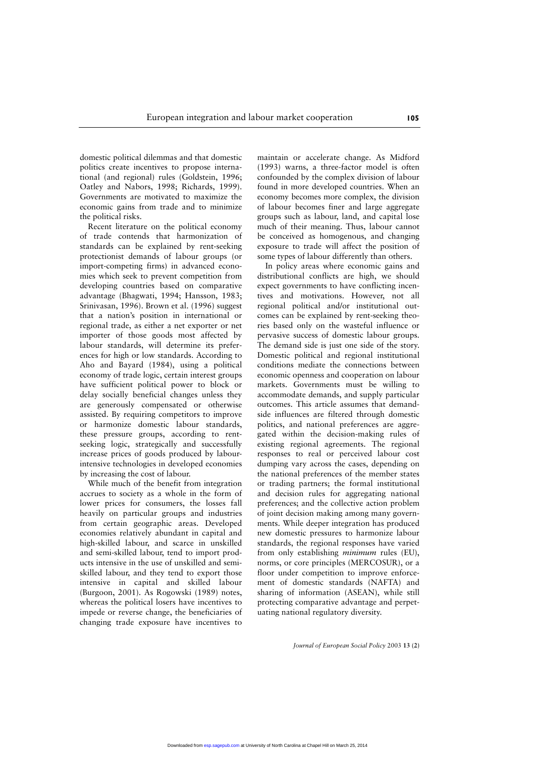domestic political dilemmas and that domestic politics create incentives to propose international (and regional) rules (Goldstein, 1996; Oatley and Nabors, 1998; Richards, 1999). Governments are motivated to maximize the economic gains from trade and to minimize the political risks.

Recent literature on the political economy of trade contends that harmonization of standards can be explained by rent-seeking protectionist demands of labour groups (or import-competing firms) in advanced economies which seek to prevent competition from developing countries based on comparative advantage (Bhagwati, 1994; Hansson, 1983; Srinivasan, 1996). Brown et al. (1996) suggest that a nation's position in international or regional trade, as either a net exporter or net importer of those goods most affected by labour standards, will determine its preferences for high or low standards. According to Aho and Bayard (1984), using a political economy of trade logic, certain interest groups have sufficient political power to block or delay socially beneficial changes unless they are generously compensated or otherwise assisted. By requiring competitors to improve or harmonize domestic labour standards, these pressure groups, according to rentseeking logic, strategically and successfully increase prices of goods produced by labourintensive technologies in developed economies by increasing the cost of labour.

While much of the benefit from integration accrues to society as a whole in the form of lower prices for consumers, the losses fall heavily on particular groups and industries from certain geographic areas. Developed economies relatively abundant in capital and high-skilled labour, and scarce in unskilled and semi-skilled labour, tend to import products intensive in the use of unskilled and semiskilled labour, and they tend to export those intensive in capital and skilled labour (Burgoon, 2001). As Rogowski (1989) notes, whereas the political losers have incentives to impede or reverse change, the beneficiaries of changing trade exposure have incentives to

maintain or accelerate change. As Midford (1993) warns, a three-factor model is often confounded by the complex division of labour found in more developed countries. When an economy becomes more complex, the division of labour becomes finer and large aggregate groups such as labour, land, and capital lose much of their meaning. Thus, labour cannot be conceived as homogenous, and changing exposure to trade will affect the position of some types of labour differently than others.

In policy areas where economic gains and distributional conflicts are high, we should expect governments to have conflicting incentives and motivations. However, not all regional political and/or institutional outcomes can be explained by rent-seeking theories based only on the wasteful influence or pervasive success of domestic labour groups. The demand side is just one side of the story. Domestic political and regional institutional conditions mediate the connections between economic openness and cooperation on labour markets. Governments must be willing to accommodate demands, and supply particular outcomes. This article assumes that demandside influences are filtered through domestic politics, and national preferences are aggregated within the decision-making rules of existing regional agreements. The regional responses to real or perceived labour cost dumping vary across the cases, depending on the national preferences of the member states or trading partners; the formal institutional and decision rules for aggregating national preferences; and the collective action problem of joint decision making among many governments. While deeper integration has produced new domestic pressures to harmonize labour standards, the regional responses have varied from only establishing *minimum* rules (EU), norms, or core principles (MERCOSUR), or a floor under competition to improve enforcement of domestic standards (NAFTA) and sharing of information (ASEAN), while still protecting comparative advantage and perpetuating national regulatory diversity.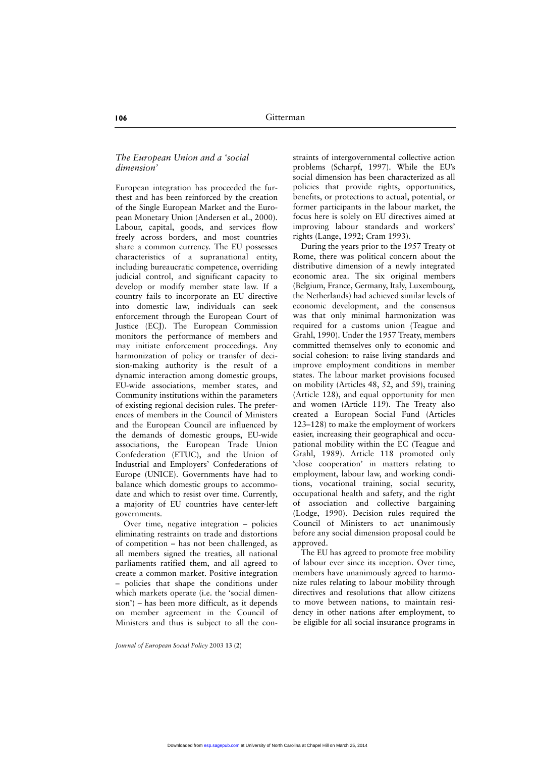#### *The European Union and a 'social dimension'*

European integration has proceeded the furthest and has been reinforced by the creation of the Single European Market and the European Monetary Union (Andersen et al., 2000). Labour, capital, goods, and services flow freely across borders, and most countries share a common currency. The EU possesses characteristics of a supranational entity, including bureaucratic competence, overriding judicial control, and significant capacity to develop or modify member state law. If a country fails to incorporate an EU directive into domestic law, individuals can seek enforcement through the European Court of Justice (ECJ). The European Commission monitors the performance of members and may initiate enforcement proceedings. Any harmonization of policy or transfer of decision-making authority is the result of a dynamic interaction among domestic groups, EU-wide associations, member states, and Community institutions within the parameters of existing regional decision rules. The preferences of members in the Council of Ministers and the European Council are influenced by the demands of domestic groups, EU-wide associations, the European Trade Union Confederation (ETUC), and the Union of Industrial and Employers' Confederations of Europe (UNICE). Governments have had to balance which domestic groups to accommodate and which to resist over time. Currently, a majority of EU countries have center-left governments.

Over time, negative integration – policies eliminating restraints on trade and distortions of competition – has not been challenged, as all members signed the treaties, all national parliaments ratified them, and all agreed to create a common market. Positive integration – policies that shape the conditions under which markets operate (i.e. the 'social dimension') – has been more difficult, as it depends on member agreement in the Council of Ministers and thus is subject to all the constraints of intergovernmental collective action problems (Scharpf, 1997). While the EU's social dimension has been characterized as all policies that provide rights, opportunities, benefits, or protections to actual, potential, or former participants in the labour market, the focus here is solely on EU directives aimed at improving labour standards and workers' rights (Lange, 1992; Cram 1993).

During the years prior to the 1957 Treaty of Rome, there was political concern about the distributive dimension of a newly integrated economic area. The six original members (Belgium, France, Germany, Italy, Luxembourg, the Netherlands) had achieved similar levels of economic development, and the consensus was that only minimal harmonization was required for a customs union (Teague and Grahl, 1990). Under the 1957 Treaty, members committed themselves only to economic and social cohesion: to raise living standards and improve employment conditions in member states. The labour market provisions focused on mobility (Articles 48, 52, and 59), training (Article 128), and equal opportunity for men and women (Article 119). The Treaty also created a European Social Fund (Articles 123–128) to make the employment of workers easier, increasing their geographical and occupational mobility within the EC (Teague and Grahl, 1989). Article 118 promoted only 'close cooperation' in matters relating to employment, labour law, and working conditions, vocational training, social security, occupational health and safety, and the right of association and collective bargaining (Lodge, 1990). Decision rules required the Council of Ministers to act unanimously before any social dimension proposal could be approved.

The EU has agreed to promote free mobility of labour ever since its inception. Over time, members have unanimously agreed to harmonize rules relating to labour mobility through directives and resolutions that allow citizens to move between nations, to maintain residency in other nations after employment, to be eligible for all social insurance programs in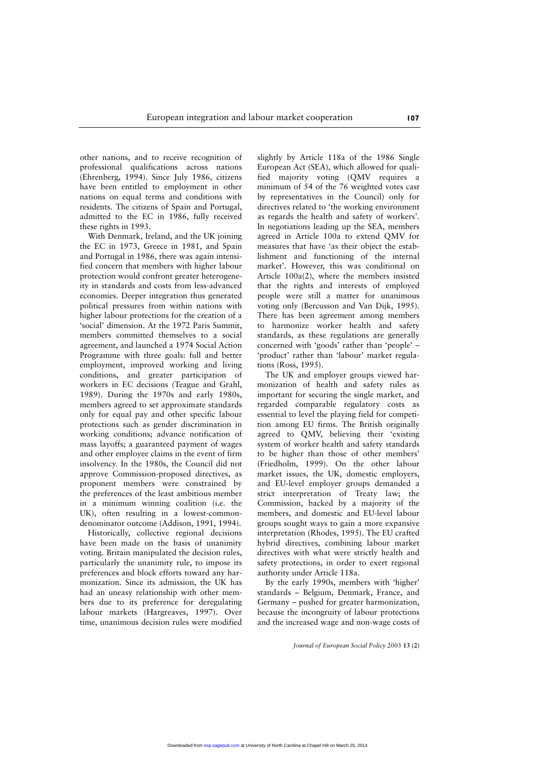other nations, and to receive recognition of professional qualifications across nations (Ehrenberg, 1994). Since July 1986, citizens have been entitled to employment in other nations on equal terms and conditions with residents. The citizens of Spain and Portugal, admitted to the EC in 1986, fully received these rights in 1993.

With Denmark, Ireland, and the UK joining the EC in 1973, Greece in 1981, and Spain and Portugal in 1986, there was again intensified concern that members with higher labour protection would confront greater heterogeneity in standards and costs from less-advanced economies. Deeper integration thus generated political pressures from within nations with higher labour protections for the creation of a 'social' dimension. At the 1972 Paris Summit, members committed themselves to a social agreement, and launched a 1974 Social Action Programme with three goals: full and better employment, improved working and living conditions, and greater participation of workers in EC decisions (Teague and Grahl, 1989). During the 1970s and early 1980s, members agreed to set approximate standards only for equal pay and other specific labour protections such as gender discrimination in working conditions; advance notification of mass layoffs; a guaranteed payment of wages and other employee claims in the event of firm insolvency. In the 1980s, the Council did not approve Commission-proposed directives, as proponent members were constrained by the preferences of the least ambitious member in a minimum winning coalition (i.e. the UK), often resulting in a lowest-commondenominator outcome (Addison, 1991, 1994).

Historically, collective regional decisions have been made on the basis of unanimity voting. Britain manipulated the decision rules, particularly the unanimity rule, to impose its preferences and block efforts toward any harmonization. Since its admission, the UK has had an uneasy relationship with other members due to its preference for deregulating labour markets (Hargreaves, 1997). Over time, unanimous decision rules were modified slightly by Article 118a of the 1986 Single European Act (SEA), which allowed for qualified majority voting (QMV requires a minimum of 54 of the 76 weighted votes cast by representatives in the Council) only for directives related to 'the working environment as regards the health and safety of workers'. In negotiations leading up the SEA, members agreed in Article 100a to extend QMV for measures that have 'as their object the establishment and functioning of the internal market'. However, this was conditional on Article 100a(2), where the members insisted that the rights and interests of employed people were still a matter for unanimous voting only (Bercusson and Van Dijk, 1995). There has been agreement among members to harmonize worker health and safety standards, as these regulations are generally concerned with 'goods' rather than 'people' – 'product' rather than 'labour' market regulations (Ross, 1995).

The UK and employer groups viewed harmonization of health and safety rules as important for securing the single market, and regarded comparable regulatory costs as essential to level the playing field for competition among EU firms. The British originally agreed to QMV, believing their 'existing system of worker health and safety standards to be higher than those of other members' (Friedholm, 1999). On the other labour market issues, the UK, domestic employers, and EU-level employer groups demanded a strict interpretation of Treaty law; the Commission, backed by a majority of the members, and domestic and EU-level labour groups sought ways to gain a more expansive interpretation (Rhodes, 1995). The EU crafted hybrid directives, combining labour market directives with what were strictly health and safety protections, in order to exert regional authority under Article 118a.

By the early 1990s, members with 'higher' standards – Belgium, Denmark, France, and Germany – pushed for greater harmonization, because the incongruity of labour protections and the increased wage and non-wage costs of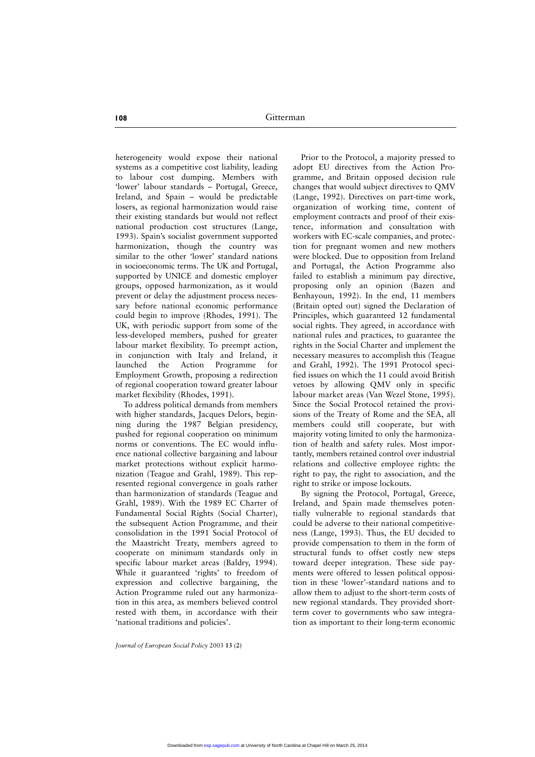heterogeneity would expose their national systems as a competitive cost liability, leading to labour cost dumping. Members with 'lower' labour standards – Portugal, Greece, Ireland, and Spain – would be predictable losers, as regional harmonization would raise their existing standards but would not reflect national production cost structures (Lange, 1993). Spain's socialist government supported harmonization, though the country was similar to the other 'lower' standard nations in socioeconomic terms. The UK and Portugal, supported by UNICE and domestic employer groups, opposed harmonization, as it would prevent or delay the adjustment process necessary before national economic performance could begin to improve (Rhodes, 1991). The UK, with periodic support from some of the less-developed members, pushed for greater labour market flexibility. To preempt action, in conjunction with Italy and Ireland, it launched the Action Programme for Employment Growth, proposing a redirection of regional cooperation toward greater labour market flexibility (Rhodes, 1991).

To address political demands from members with higher standards, Jacques Delors, beginning during the 1987 Belgian presidency, pushed for regional cooperation on minimum norms or conventions. The EC would influence national collective bargaining and labour market protections without explicit harmonization (Teague and Grahl, 1989). This represented regional convergence in goals rather than harmonization of standards (Teague and Grahl, 1989). With the 1989 EC Charter of Fundamental Social Rights (Social Charter), the subsequent Action Programme, and their consolidation in the 1991 Social Protocol of the Maastricht Treaty, members agreed to cooperate on minimum standards only in specific labour market areas (Baldry, 1994). While it guaranteed 'rights' to freedom of expression and collective bargaining, the Action Programme ruled out any harmonization in this area, as members believed control rested with them, in accordance with their 'national traditions and policies'.

Prior to the Protocol, a majority pressed to adopt EU directives from the Action Programme, and Britain opposed decision rule changes that would subject directives to QMV (Lange, 1992). Directives on part-time work, organization of working time, content of employment contracts and proof of their existence, information and consultation with workers with EC-scale companies, and protection for pregnant women and new mothers were blocked. Due to opposition from Ireland and Portugal, the Action Programme also failed to establish a minimum pay directive, proposing only an opinion (Bazen and Benhayoun, 1992). In the end, 11 members (Britain opted out) signed the Declaration of Principles, which guaranteed 12 fundamental social rights. They agreed, in accordance with national rules and practices, to guarantee the rights in the Social Charter and implement the necessary measures to accomplish this (Teague and Grahl, 1992). The 1991 Protocol specified issues on which the 11 could avoid British vetoes by allowing QMV only in specific labour market areas (Van Wezel Stone, 1995). Since the Social Protocol retained the provisions of the Treaty of Rome and the SEA, all members could still cooperate, but with majority voting limited to only the harmonization of health and safety rules. Most importantly, members retained control over industrial relations and collective employee rights: the right to pay, the right to association, and the right to strike or impose lockouts.

By signing the Protocol, Portugal, Greece, Ireland, and Spain made themselves potentially vulnerable to regional standards that could be adverse to their national competitiveness (Lange, 1993). Thus, the EU decided to provide compensation to them in the form of structural funds to offset costly new steps toward deeper integration. These side payments were offered to lessen political opposition in these 'lower'-standard nations and to allow them to adjust to the short-term costs of new regional standards. They provided shortterm cover to governments who saw integration as important to their long-term economic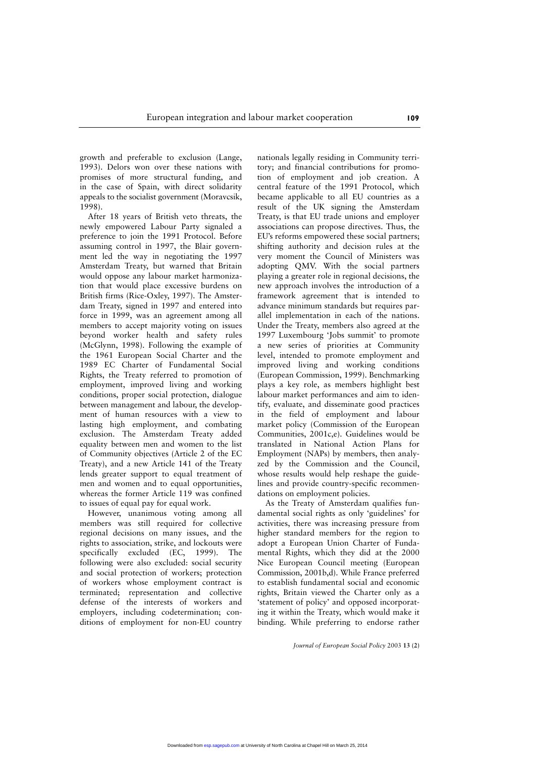growth and preferable to exclusion (Lange, 1993). Delors won over these nations with promises of more structural funding, and in the case of Spain, with direct solidarity appeals to the socialist government (Moravcsik, 1998).

After 18 years of British veto threats, the newly empowered Labour Party signaled a preference to join the 1991 Protocol. Before assuming control in 1997, the Blair government led the way in negotiating the 1997 Amsterdam Treaty, but warned that Britain would oppose any labour market harmonization that would place excessive burdens on British firms (Rice-Oxley, 1997). The Amsterdam Treaty, signed in 1997 and entered into force in 1999, was an agreement among all members to accept majority voting on issues beyond worker health and safety rules (McGlynn, 1998). Following the example of the 1961 European Social Charter and the 1989 EC Charter of Fundamental Social Rights, the Treaty referred to promotion of employment, improved living and working conditions, proper social protection, dialogue between management and labour, the development of human resources with a view to lasting high employment, and combating exclusion. The Amsterdam Treaty added equality between men and women to the list of Community objectives (Article 2 of the EC Treaty), and a new Article 141 of the Treaty lends greater support to equal treatment of men and women and to equal opportunities, whereas the former Article 119 was confined to issues of equal pay for equal work.

However, unanimous voting among all members was still required for collective regional decisions on many issues, and the rights to association, strike, and lockouts were specifically excluded (EC, 1999). The following were also excluded: social security and social protection of workers; protection of workers whose employment contract is terminated; representation and collective defense of the interests of workers and employers, including codetermination; conditions of employment for non-EU country nationals legally residing in Community territory; and financial contributions for promotion of employment and job creation. A central feature of the 1991 Protocol, which became applicable to all EU countries as a result of the UK signing the Amsterdam Treaty, is that EU trade unions and employer associations can propose directives. Thus, the EU's reforms empowered these social partners; shifting authority and decision rules at the very moment the Council of Ministers was adopting QMV. With the social partners playing a greater role in regional decisions, the new approach involves the introduction of a framework agreement that is intended to advance minimum standards but requires parallel implementation in each of the nations. Under the Treaty, members also agreed at the 1997 Luxembourg 'Jobs summit' to promote a new series of priorities at Community level, intended to promote employment and improved living and working conditions (European Commission, 1999). Benchmarking plays a key role, as members highlight best labour market performances and aim to identify, evaluate, and disseminate good practices in the field of employment and labour market policy (Commission of the European Communities, 2001c,e). Guidelines would be translated in National Action Plans for Employment (NAPs) by members, then analyzed by the Commission and the Council, whose results would help reshape the guidelines and provide country-specific recommendations on employment policies.

As the Treaty of Amsterdam qualifies fundamental social rights as only 'guidelines' for activities, there was increasing pressure from higher standard members for the region to adopt a European Union Charter of Fundamental Rights, which they did at the 2000 Nice European Council meeting (European Commission, 2001b,d). While France preferred to establish fundamental social and economic rights, Britain viewed the Charter only as a 'statement of policy' and opposed incorporating it within the Treaty, which would make it binding. While preferring to endorse rather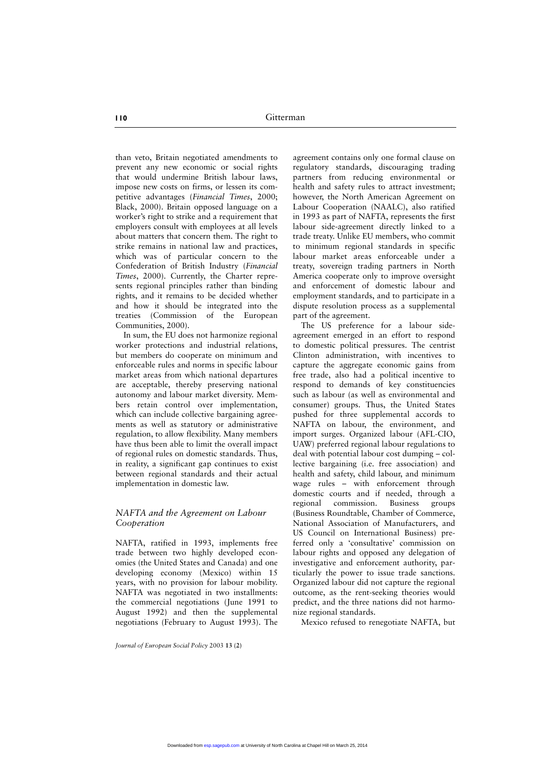than veto, Britain negotiated amendments to prevent any new economic or social rights that would undermine British labour laws, impose new costs on firms, or lessen its competitive advantages (*Financial Times*, 2000; Black, 2000). Britain opposed language on a worker's right to strike and a requirement that employers consult with employees at all levels about matters that concern them. The right to strike remains in national law and practices, which was of particular concern to the Confederation of British Industry (*Financial Times*, 2000). Currently, the Charter represents regional principles rather than binding rights, and it remains to be decided whether and how it should be integrated into the treaties (Commission of the European Communities, 2000).

In sum, the EU does not harmonize regional worker protections and industrial relations, but members do cooperate on minimum and enforceable rules and norms in specific labour market areas from which national departures are acceptable, thereby preserving national autonomy and labour market diversity. Members retain control over implementation, which can include collective bargaining agreements as well as statutory or administrative regulation, to allow flexibility. Many members have thus been able to limit the overall impact of regional rules on domestic standards. Thus, in reality, a significant gap continues to exist between regional standards and their actual implementation in domestic law.

#### *NAFTA and the Agreement on Labour Cooperation*

NAFTA, ratified in 1993, implements free trade between two highly developed economies (the United States and Canada) and one developing economy (Mexico) within 15 years, with no provision for labour mobility. NAFTA was negotiated in two installments: the commercial negotiations (June 1991 to August 1992) and then the supplemental negotiations (February to August 1993). The agreement contains only one formal clause on regulatory standards, discouraging trading partners from reducing environmental or health and safety rules to attract investment; however, the North American Agreement on Labour Cooperation (NAALC), also ratified in 1993 as part of NAFTA, represents the first labour side-agreement directly linked to a trade treaty. Unlike EU members, who commit to minimum regional standards in specific labour market areas enforceable under a treaty, sovereign trading partners in North America cooperate only to improve oversight and enforcement of domestic labour and employment standards, and to participate in a dispute resolution process as a supplemental part of the agreement.

The US preference for a labour sideagreement emerged in an effort to respond to domestic political pressures. The centrist Clinton administration, with incentives to capture the aggregate economic gains from free trade, also had a political incentive to respond to demands of key constituencies such as labour (as well as environmental and consumer) groups. Thus, the United States pushed for three supplemental accords to NAFTA on labour, the environment, and import surges. Organized labour (AFL-CIO, UAW) preferred regional labour regulations to deal with potential labour cost dumping – collective bargaining (i.e. free association) and health and safety, child labour, and minimum wage rules – with enforcement through domestic courts and if needed, through a regional commission. Business groups (Business Roundtable, Chamber of Commerce, National Association of Manufacturers, and US Council on International Business) preferred only a 'consultative' commission on labour rights and opposed any delegation of investigative and enforcement authority, particularly the power to issue trade sanctions. Organized labour did not capture the regional outcome, as the rent-seeking theories would predict, and the three nations did not harmonize regional standards.

Mexico refused to renegotiate NAFTA, but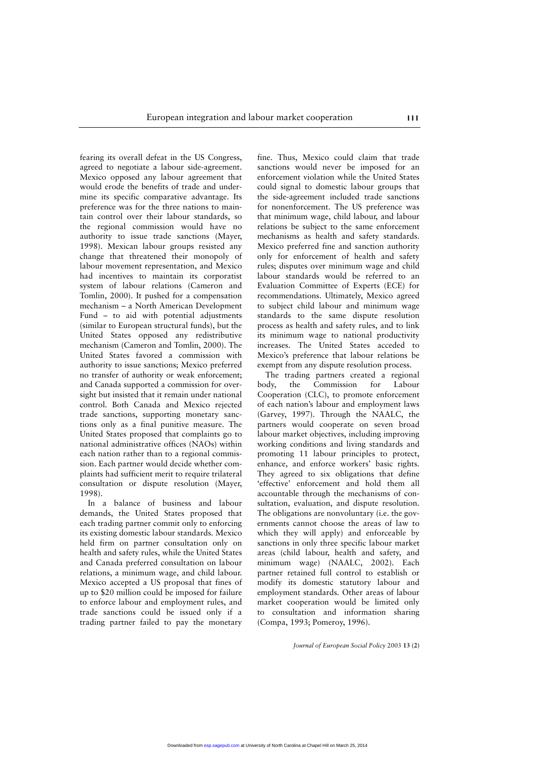fearing its overall defeat in the US Congress, agreed to negotiate a labour side-agreement. Mexico opposed any labour agreement that would erode the benefits of trade and undermine its specific comparative advantage. Its preference was for the three nations to maintain control over their labour standards, so the regional commission would have no authority to issue trade sanctions (Mayer, 1998). Mexican labour groups resisted any change that threatened their monopoly of labour movement representation, and Mexico had incentives to maintain its corporatist system of labour relations (Cameron and Tomlin, 2000). It pushed for a compensation mechanism – a North American Development Fund – to aid with potential adjustments (similar to European structural funds), but the United States opposed any redistributive mechanism (Cameron and Tomlin, 2000). The United States favored a commission with authority to issue sanctions; Mexico preferred no transfer of authority or weak enforcement; and Canada supported a commission for oversight but insisted that it remain under national control. Both Canada and Mexico rejected trade sanctions, supporting monetary sanctions only as a final punitive measure. The United States proposed that complaints go to national administrative offices (NAOs) within each nation rather than to a regional commission. Each partner would decide whether complaints had sufficient merit to require trilateral consultation or dispute resolution (Mayer, 1998).

In a balance of business and labour demands, the United States proposed that each trading partner commit only to enforcing its existing domestic labour standards. Mexico held firm on partner consultation only on health and safety rules, while the United States and Canada preferred consultation on labour relations, a minimum wage, and child labour. Mexico accepted a US proposal that fines of up to \$20 million could be imposed for failure to enforce labour and employment rules, and trade sanctions could be issued only if a trading partner failed to pay the monetary

fine. Thus, Mexico could claim that trade sanctions would never be imposed for an enforcement violation while the United States could signal to domestic labour groups that the side-agreement included trade sanctions for nonenforcement. The US preference was that minimum wage, child labour, and labour relations be subject to the same enforcement mechanisms as health and safety standards. Mexico preferred fine and sanction authority only for enforcement of health and safety rules; disputes over minimum wage and child labour standards would be referred to an Evaluation Committee of Experts (ECE) for recommendations. Ultimately, Mexico agreed to subject child labour and minimum wage standards to the same dispute resolution process as health and safety rules, and to link its minimum wage to national productivity increases. The United States acceded to Mexico's preference that labour relations be exempt from any dispute resolution process.

The trading partners created a regional body, the Commission for Labour Cooperation (CLC), to promote enforcement of each nation's labour and employment laws (Garvey, 1997). Through the NAALC, the partners would cooperate on seven broad labour market objectives, including improving working conditions and living standards and promoting 11 labour principles to protect, enhance, and enforce workers' basic rights. They agreed to six obligations that define 'effective' enforcement and hold them all accountable through the mechanisms of consultation, evaluation, and dispute resolution. The obligations are nonvoluntary (i.e. the governments cannot choose the areas of law to which they will apply) and enforceable by sanctions in only three specific labour market areas (child labour, health and safety, and minimum wage) (NAALC, 2002). Each partner retained full control to establish or modify its domestic statutory labour and employment standards. Other areas of labour market cooperation would be limited only to consultation and information sharing (Compa, 1993; Pomeroy, 1996).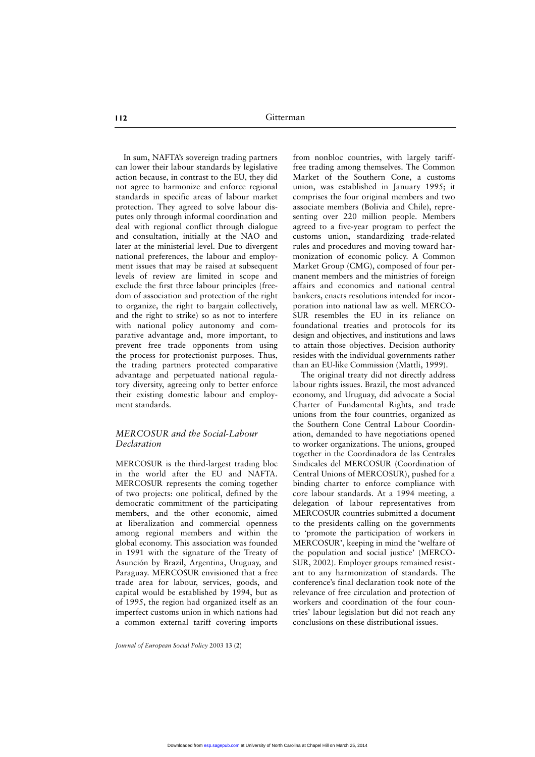**112** Gitterman

In sum, NAFTA's sovereign trading partners can lower their labour standards by legislative action because, in contrast to the EU, they did not agree to harmonize and enforce regional standards in specific areas of labour market protection. They agreed to solve labour disputes only through informal coordination and deal with regional conflict through dialogue and consultation, initially at the NAO and later at the ministerial level. Due to divergent national preferences, the labour and employment issues that may be raised at subsequent levels of review are limited in scope and exclude the first three labour principles (freedom of association and protection of the right to organize, the right to bargain collectively, and the right to strike) so as not to interfere with national policy autonomy and comparative advantage and, more important, to prevent free trade opponents from using the process for protectionist purposes. Thus, the trading partners protected comparative advantage and perpetuated national regulatory diversity, agreeing only to better enforce their existing domestic labour and employment standards.

#### *MERCOSUR and the Social-Labour Declaration*

MERCOSUR is the third-largest trading bloc in the world after the EU and NAFTA. MERCOSUR represents the coming together of two projects: one political, defined by the democratic commitment of the participating members, and the other economic, aimed at liberalization and commercial openness among regional members and within the global economy. This association was founded in 1991 with the signature of the Treaty of Asunción by Brazil, Argentina, Uruguay, and Paraguay. MERCOSUR envisioned that a free trade area for labour, services, goods, and capital would be established by 1994, but as of 1995, the region had organized itself as an imperfect customs union in which nations had a common external tariff covering imports

*Journal of European Social Policy* 2003 **13 (2)**

from nonbloc countries, with largely tarifffree trading among themselves. The Common Market of the Southern Cone, a customs union, was established in January 1995; it comprises the four original members and two associate members (Bolivia and Chile), representing over 220 million people. Members agreed to a five-year program to perfect the customs union, standardizing trade-related rules and procedures and moving toward harmonization of economic policy. A Common Market Group (CMG), composed of four permanent members and the ministries of foreign affairs and economics and national central bankers, enacts resolutions intended for incorporation into national law as well. MERCO-SUR resembles the EU in its reliance on foundational treaties and protocols for its design and objectives, and institutions and laws to attain those objectives. Decision authority resides with the individual governments rather than an EU-like Commission (Mattli, 1999).

The original treaty did not directly address labour rights issues. Brazil, the most advanced economy, and Uruguay, did advocate a Social Charter of Fundamental Rights, and trade unions from the four countries, organized as the Southern Cone Central Labour Coordination, demanded to have negotiations opened to worker organizations. The unions, grouped together in the Coordinadora de las Centrales Sindicales del MERCOSUR (Coordination of Central Unions of MERCOSUR), pushed for a binding charter to enforce compliance with core labour standards. At a 1994 meeting, a delegation of labour representatives from MERCOSUR countries submitted a document to the presidents calling on the governments to 'promote the participation of workers in MERCOSUR', keeping in mind the 'welfare of the population and social justice' (MERCO-SUR, 2002). Employer groups remained resistant to any harmonization of standards. The conference's final declaration took note of the relevance of free circulation and protection of workers and coordination of the four countries' labour legislation but did not reach any conclusions on these distributional issues.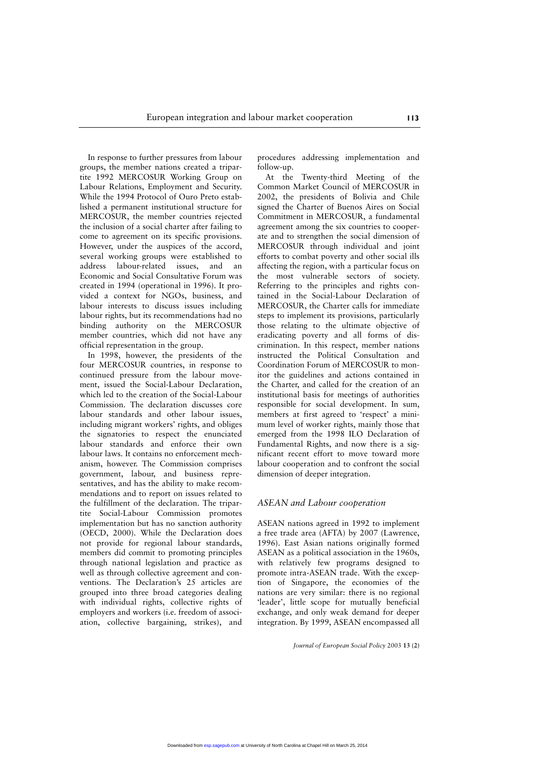In response to further pressures from labour groups, the member nations created a tripartite 1992 MERCOSUR Working Group on Labour Relations, Employment and Security. While the 1994 Protocol of Ouro Preto established a permanent institutional structure for MERCOSUR, the member countries rejected the inclusion of a social charter after failing to come to agreement on its specific provisions. However, under the auspices of the accord, several working groups were established to address labour-related issues, and an Economic and Social Consultative Forum was created in 1994 (operational in 1996). It provided a context for NGOs, business, and labour interests to discuss issues including labour rights, but its recommendations had no binding authority on the MERCOSUR member countries, which did not have any official representation in the group.

In 1998, however, the presidents of the four MERCOSUR countries, in response to continued pressure from the labour movement, issued the Social-Labour Declaration, which led to the creation of the Social-Labour Commission. The declaration discusses core labour standards and other labour issues, including migrant workers' rights, and obliges the signatories to respect the enunciated labour standards and enforce their own labour laws. It contains no enforcement mechanism, however. The Commission comprises government, labour, and business representatives, and has the ability to make recommendations and to report on issues related to the fulfillment of the declaration. The tripartite Social-Labour Commission promotes implementation but has no sanction authority (OECD, 2000). While the Declaration does not provide for regional labour standards, members did commit to promoting principles through national legislation and practice as well as through collective agreement and conventions. The Declaration's 25 articles are grouped into three broad categories dealing with individual rights, collective rights of employers and workers (i.e. freedom of association, collective bargaining, strikes), and

procedures addressing implementation and follow-up.

At the Twenty-third Meeting of the Common Market Council of MERCOSUR in 2002, the presidents of Bolivia and Chile signed the Charter of Buenos Aires on Social Commitment in MERCOSUR, a fundamental agreement among the six countries to cooperate and to strengthen the social dimension of MERCOSUR through individual and joint efforts to combat poverty and other social ills affecting the region, with a particular focus on the most vulnerable sectors of society. Referring to the principles and rights contained in the Social-Labour Declaration of MERCOSUR, the Charter calls for immediate steps to implement its provisions, particularly those relating to the ultimate objective of eradicating poverty and all forms of discrimination. In this respect, member nations instructed the Political Consultation and Coordination Forum of MERCOSUR to monitor the guidelines and actions contained in the Charter, and called for the creation of an institutional basis for meetings of authorities responsible for social development. In sum, members at first agreed to 'respect' a minimum level of worker rights, mainly those that emerged from the 1998 ILO Declaration of Fundamental Rights, and now there is a significant recent effort to move toward more labour cooperation and to confront the social dimension of deeper integration.

#### *ASEAN and Labour cooperation*

ASEAN nations agreed in 1992 to implement a free trade area (AFTA) by 2007 (Lawrence, 1996). East Asian nations originally formed ASEAN as a political association in the 1960s, with relatively few programs designed to promote intra-ASEAN trade. With the exception of Singapore, the economies of the nations are very similar: there is no regional 'leader', little scope for mutually beneficial exchange, and only weak demand for deeper integration. By 1999, ASEAN encompassed all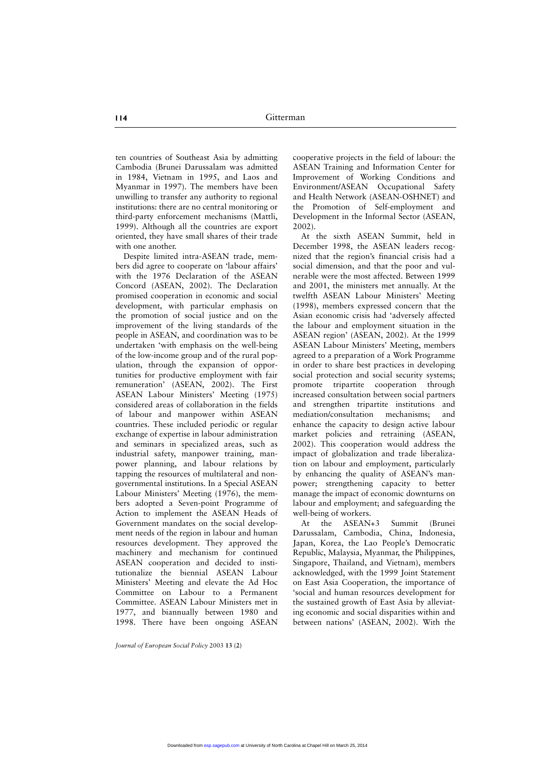ten countries of Southeast Asia by admitting Cambodia (Brunei Darussalam was admitted in 1984, Vietnam in 1995, and Laos and Myanmar in 1997). The members have been unwilling to transfer any authority to regional institutions: there are no central monitoring or third-party enforcement mechanisms (Mattli, 1999). Although all the countries are export oriented, they have small shares of their trade with one another.

Despite limited intra-ASEAN trade, members did agree to cooperate on 'labour affairs' with the 1976 Declaration of the ASEAN Concord (ASEAN, 2002). The Declaration promised cooperation in economic and social development, with particular emphasis on the promotion of social justice and on the improvement of the living standards of the people in ASEAN, and coordination was to be undertaken 'with emphasis on the well-being of the low-income group and of the rural population, through the expansion of opportunities for productive employment with fair remuneration' (ASEAN, 2002). The First ASEAN Labour Ministers' Meeting (1975) considered areas of collaboration in the fields of labour and manpower within ASEAN countries. These included periodic or regular exchange of expertise in labour administration and seminars in specialized areas, such as industrial safety, manpower training, manpower planning, and labour relations by tapping the resources of multilateral and nongovernmental institutions. In a Special ASEAN Labour Ministers' Meeting (1976), the members adopted a Seven-point Programme of Action to implement the ASEAN Heads of Government mandates on the social development needs of the region in labour and human resources development. They approved the machinery and mechanism for continued ASEAN cooperation and decided to institutionalize the biennial ASEAN Labour Ministers' Meeting and elevate the Ad Hoc Committee on Labour to a Permanent Committee. ASEAN Labour Ministers met in 1977, and biannually between 1980 and 1998. There have been ongoing ASEAN cooperative projects in the field of labour: the ASEAN Training and Information Center for Improvement of Working Conditions and Environment/ASEAN Occupational Safety and Health Network (ASEAN-OSHNET) and the Promotion of Self-employment and Development in the Informal Sector (ASEAN, 2002).

At the sixth ASEAN Summit, held in December 1998, the ASEAN leaders recognized that the region's financial crisis had a social dimension, and that the poor and vulnerable were the most affected. Between 1999 and 2001, the ministers met annually. At the twelfth ASEAN Labour Ministers' Meeting (1998), members expressed concern that the Asian economic crisis had 'adversely affected the labour and employment situation in the ASEAN region' (ASEAN, 2002). At the 1999 ASEAN Labour Ministers' Meeting, members agreed to a preparation of a Work Programme in order to share best practices in developing social protection and social security systems; promote tripartite cooperation through increased consultation between social partners and strengthen tripartite institutions and mediation/consultation mechanisms; and enhance the capacity to design active labour market policies and retraining (ASEAN, 2002). This cooperation would address the impact of globalization and trade liberalization on labour and employment, particularly by enhancing the quality of ASEAN's manpower; strengthening capacity to better manage the impact of economic downturns on labour and employment; and safeguarding the well-being of workers.

At the ASEAN+3 Summit (Brunei Darussalam, Cambodia, China, Indonesia, Japan, Korea, the Lao People's Democratic Republic, Malaysia, Myanmar, the Philippines, Singapore, Thailand, and Vietnam), members acknowledged, with the 1999 Joint Statement on East Asia Cooperation, the importance of 'social and human resources development for the sustained growth of East Asia by alleviating economic and social disparities within and between nations' (ASEAN, 2002). With the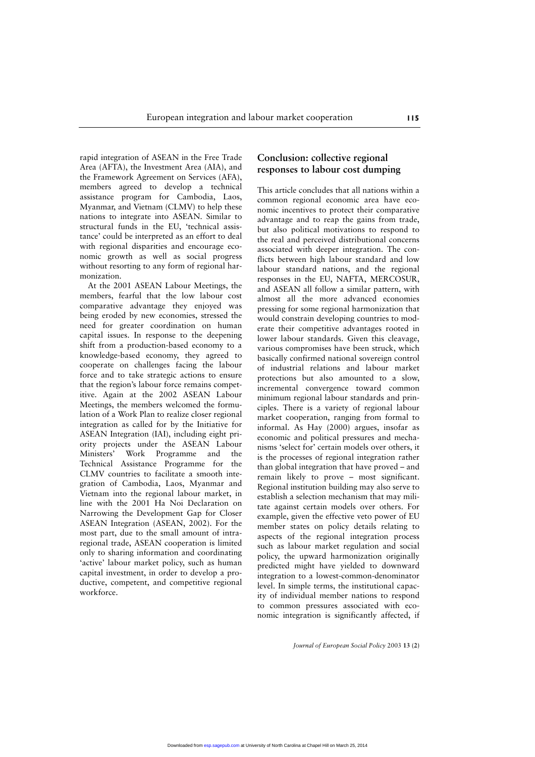rapid integration of ASEAN in the Free Trade Area (AFTA), the Investment Area (AIA), and the Framework Agreement on Services (AFA), members agreed to develop a technical assistance program for Cambodia, Laos, Myanmar, and Vietnam (CLMV) to help these nations to integrate into ASEAN. Similar to structural funds in the EU, 'technical assistance' could be interpreted as an effort to deal with regional disparities and encourage economic growth as well as social progress without resorting to any form of regional harmonization.

At the 2001 ASEAN Labour Meetings, the members, fearful that the low labour cost comparative advantage they enjoyed was being eroded by new economies, stressed the need for greater coordination on human capital issues. In response to the deepening shift from a production-based economy to a knowledge-based economy, they agreed to cooperate on challenges facing the labour force and to take strategic actions to ensure that the region's labour force remains competitive. Again at the 2002 ASEAN Labour Meetings, the members welcomed the formulation of a Work Plan to realize closer regional integration as called for by the Initiative for ASEAN Integration (IAI), including eight priority projects under the ASEAN Labour Ministers' Work Programme and the Technical Assistance Programme for the CLMV countries to facilitate a smooth integration of Cambodia, Laos, Myanmar and Vietnam into the regional labour market, in line with the 2001 Ha Noi Declaration on Narrowing the Development Gap for Closer ASEAN Integration (ASEAN, 2002). For the most part, due to the small amount of intraregional trade, ASEAN cooperation is limited only to sharing information and coordinating 'active' labour market policy, such as human capital investment, in order to develop a productive, competent, and competitive regional workforce.

## **Conclusion: collective regional responses to labour cost dumping**

This article concludes that all nations within a common regional economic area have economic incentives to protect their comparative advantage and to reap the gains from trade, but also political motivations to respond to the real and perceived distributional concerns associated with deeper integration. The conflicts between high labour standard and low labour standard nations, and the regional responses in the EU, NAFTA, MERCOSUR, and ASEAN all follow a similar pattern, with almost all the more advanced economies pressing for some regional harmonization that would constrain developing countries to moderate their competitive advantages rooted in lower labour standards. Given this cleavage, various compromises have been struck, which basically confirmed national sovereign control of industrial relations and labour market protections but also amounted to a slow, incremental convergence toward common minimum regional labour standards and principles. There is a variety of regional labour market cooperation, ranging from formal to informal. As Hay (2000) argues, insofar as economic and political pressures and mechanisms 'select for' certain models over others, it is the processes of regional integration rather than global integration that have proved – and remain likely to prove – most significant. Regional institution building may also serve to establish a selection mechanism that may militate against certain models over others. For example, given the effective veto power of EU member states on policy details relating to aspects of the regional integration process such as labour market regulation and social policy, the upward harmonization originally predicted might have yielded to downward integration to a lowest-common-denominator level. In simple terms, the institutional capacity of individual member nations to respond to common pressures associated with economic integration is significantly affected, if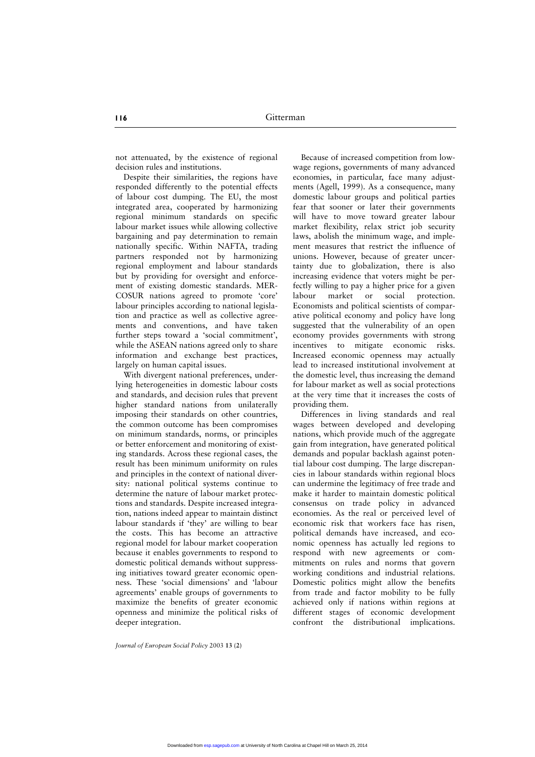not attenuated, by the existence of regional decision rules and institutions.

Despite their similarities, the regions have responded differently to the potential effects of labour cost dumping. The EU, the most integrated area, cooperated by harmonizing regional minimum standards on specific labour market issues while allowing collective bargaining and pay determination to remain nationally specific. Within NAFTA, trading partners responded not by harmonizing regional employment and labour standards but by providing for oversight and enforcement of existing domestic standards. MER-COSUR nations agreed to promote 'core' labour principles according to national legislation and practice as well as collective agreements and conventions, and have taken further steps toward a 'social commitment', while the ASEAN nations agreed only to share information and exchange best practices, largely on human capital issues.

With divergent national preferences, underlying heterogeneities in domestic labour costs and standards, and decision rules that prevent higher standard nations from unilaterally imposing their standards on other countries, the common outcome has been compromises on minimum standards, norms, or principles or better enforcement and monitoring of existing standards. Across these regional cases, the result has been minimum uniformity on rules and principles in the context of national diversity: national political systems continue to determine the nature of labour market protections and standards. Despite increased integration, nations indeed appear to maintain distinct labour standards if 'they' are willing to bear the costs. This has become an attractive regional model for labour market cooperation because it enables governments to respond to domestic political demands without suppressing initiatives toward greater economic openness. These 'social dimensions' and 'labour agreements' enable groups of governments to maximize the benefits of greater economic openness and minimize the political risks of deeper integration.

Because of increased competition from lowwage regions, governments of many advanced economies, in particular, face many adjustments (Agell, 1999). As a consequence, many domestic labour groups and political parties fear that sooner or later their governments will have to move toward greater labour market flexibility, relax strict job security laws, abolish the minimum wage, and implement measures that restrict the influence of unions. However, because of greater uncertainty due to globalization, there is also increasing evidence that voters might be perfectly willing to pay a higher price for a given labour market or social protection. Economists and political scientists of comparative political economy and policy have long suggested that the vulnerability of an open economy provides governments with strong incentives to mitigate economic risks. Increased economic openness may actually lead to increased institutional involvement at the domestic level, thus increasing the demand for labour market as well as social protections at the very time that it increases the costs of providing them.

Differences in living standards and real wages between developed and developing nations, which provide much of the aggregate gain from integration, have generated political demands and popular backlash against potential labour cost dumping. The large discrepancies in labour standards within regional blocs can undermine the legitimacy of free trade and make it harder to maintain domestic political consensus on trade policy in advanced economies. As the real or perceived level of economic risk that workers face has risen, political demands have increased, and economic openness has actually led regions to respond with new agreements or commitments on rules and norms that govern working conditions and industrial relations. Domestic politics might allow the benefits from trade and factor mobility to be fully achieved only if nations within regions at different stages of economic development confront the distributional implications.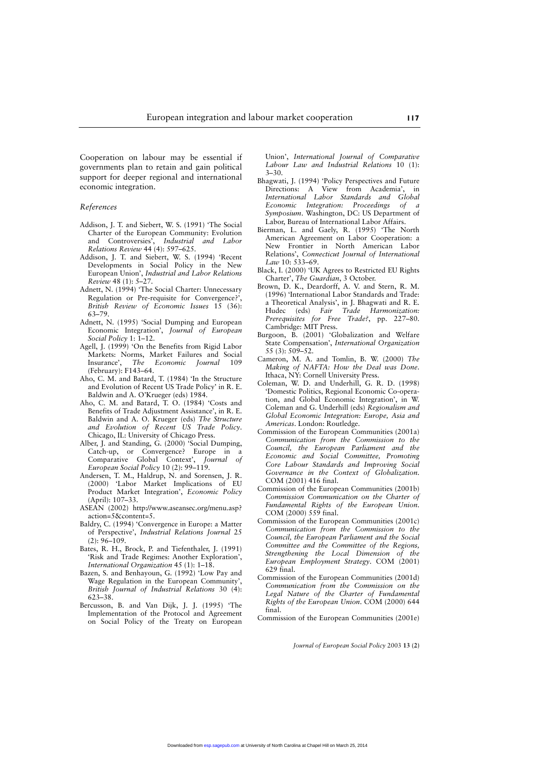Cooperation on labour may be essential if governments plan to retain and gain political support for deeper regional and international economic integration.

#### *References*

- Addison, J. T. and Siebert, W. S. (1991) 'The Social Charter of the European Community: Evolution and Controversies', *Industrial and Labor Relations Review* 44 (4): 597–625.
- Addison, J. T. and Siebert, W. S. (1994) 'Recent Developments in Social Policy in the New European Union', *Industrial and Labor Relations Review* 48 (1): 5–27.
- Adnett, N. (1994) 'The Social Charter: Unnecessary Regulation or Pre-requisite for Convergence?', *British Review of Economic Issues* 15 (36): 63–79.
- Adnett, N. (1995) 'Social Dumping and European Economic Integration', *Journal of European Social Policy* 1: 1–12.
- Agell, J. (1999) 'On the Benefits from Rigid Labor Markets: Norms, Market Failures and Social<br>Insurance', The Economic Journal 109 Insurance', *The Economic Journal* 109 (February): F143–64.
- Aho, C. M. and Batard, T. (1984) 'In the Structure and Evolution of Recent US Trade Policy' in R. E. Baldwin and A. O'Krueger (eds) 1984.
- Aho, C. M. and Batard, T. O. (1984) 'Costs and Benefits of Trade Adjustment Assistance', in R. E. Baldwin and A. O. Krueger (eds) *The Structure and Evolution of Recent US Trade Policy*. Chicago, IL: University of Chicago Press.
- Alber, J. and Standing, G. (2000) 'Social Dumping, Catch-up, or Convergence? Europe in a Comparative Global Context', *Journal of European Social Policy* 10 (2): 99–119.
- Andersen, T. M., Haldrup, N. and Sorensen, J. R. (2000) 'Labor Market Implications of EU Product Market Integration', *Economic Policy* (April): 107–33.
- ASEAN (2002) http://www.aseansec.org/menu.asp? action=5&content=5.
- Baldry, C. (1994) 'Convergence in Europe: a Matter of Perspective', *Industrial Relations Journal* 25 (2): 96–109.
- Bates, R. H., Brock, P. and Tiefenthaler, J. (1991) 'Risk and Trade Regimes: Another Exploration', *International Organization* 45 (1): 1–18.
- Bazen, S. and Benhayoun, G. (1992) 'Low Pay and Wage Regulation in the European Community', *British Journal of Industrial Relations* 30 (4): 623–38.
- Bercusson, B. and Van Dijk, J. J. (1995) 'The Implementation of the Protocol and Agreement on Social Policy of the Treaty on European

Union', *International Journal of Comparative Labour Law and Industrial Relations* 10 (1):  $3 - 30.$ 

- Bhagwati, J. (1994) 'Policy Perspectives and Future Directions: A View from Academia', in *International Labor Standards and Global Economic Integration: Proceedings of a Symposium*. Washington, DC: US Department of Labor, Bureau of International Labor Affairs.
- Bierman, L. and Gaely, R. (1995) 'The North American Agreement on Labor Cooperation: a New Frontier in North American Labor Relations', *Connecticut Journal of International Law* 10: 533–69.
- Black, I. (2000) 'UK Agrees to Restricted EU Rights Charter', *The Guardian*, 3 October.
- Brown, D. K., Deardorff, A. V. and Stern, R. M. (1996) 'International Labor Standards and Trade: a Theoretical Analysis', in J. Bhagwati and R. E. Hudec (eds) *Fair Trade Harmonization: Prerequisites for Free Trade?*, pp. 227–80. Cambridge: MIT Press.
- Burgoon, B. (2001) 'Globalization and Welfare State Compensation', *International Organization* 55 (3): 509–52.
- Cameron, M. A. and Tomlin, B. W. (2000) *The Making of NAFTA: How the Deal was Done*. Ithaca, NY: Cornell University Press.
- Coleman, W. D. and Underhill, G. R. D. (1998) 'Domestic Politics, Regional Economic Co-operation, and Global Economic Integration', in W. Coleman and G. Underhill (eds) *Regionalism and Global Economic Integration: Europe, Asia and Americas*. London: Routledge.
- Commission of the European Communities (2001a) *Communication from the Commission to the Council, the European Parliament and the Economic and Social Committee, Promoting Core Labour Standards and Improving Social Governance in the Context of Globalization*. COM (2001) 416 final.
- Commission of the European Communities (2001b) *Commission Communication on the Charter of Fundamental Rights of the European Union*. COM (2000) 559 final.
- Commission of the European Communities (2001c) *Communication from the Commission to the Council, the European Parliament and the Social Committee and the Committee of the Regions, Strengthening the Local Dimension of the European Employment Strategy*. COM (2001) 629 final.
- Commission of the European Communities (2001d) *Communication from the Commission on the Legal Nature of the Charter of Fundamental Rights of the European Union*. COM (2000) 644 final.

Commission of the European Communities (2001e)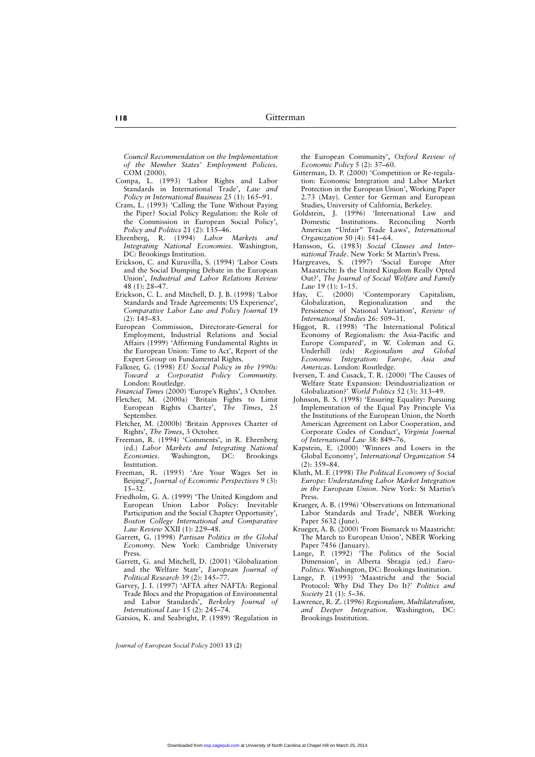*Council Recommendation on the Implementation of the Member States' Employment Policies*. COM (2000).

- Compa, L. (1993) 'Labor Rights and Labor Standards in International Trade', *Law and Policy in International Business* 25 (1): 165–91.
- Cram, L. (1993) 'Calling the Tune Without Paying the Piper? Social Policy Regulation: the Role of the Commission in European Social Policy', *Policy and Politics* 21 (2): 135–46.
- Ehrenberg, R. (1994) *Labor Markets and Integrating National Economies*. Washington, DC: Brookings Institution.
- Erickson, C. and Kuruvilla, S. (1994) 'Labor Costs and the Social Dumping Debate in the European Union', *Industrial and Labor Relations Review* 48 (1): 28–47.
- Erickson, C. L. and Mitchell, D. J. B. (1998) 'Labor Standards and Trade Agreements: US Experience' *Comparative Labor Law and Policy Journal* 19  $(2): 145 - 83.$
- European Commission, Directorate-General for Employment, Industrial Relations and Social Affairs (1999) 'Affirming Fundamental Rights in the European Union: Time to Act', Report of the Expert Group on Fundamental Rights.
- Falkner, G. (1998) *EU Social Policy in the 1990s: Toward a Corporatist Policy Community*. London: Routledge.
- *Financial Times* (2000) 'Europe's Rights', 3 October. Fletcher, M. (2000a) 'Britain Fights to Limit European Rights Charter', *The Times*, 25
- September. Fletcher, M. (2000b) 'Britain Approves Charter of Rights', *The Times*, 3 October.
- Freeman, R. (1994) 'Comments', in R. Ehrenberg (ed.) *Labor Markets and Integrating National* Washington, Institution.
- Freeman, R. (1995) 'Are Your Wages Set in Beijing?', *Journal of Economic Perspectives* 9 (3): 15–32.
- Friedholm, G. A. (1999) 'The United Kingdom and European Union Labor Policy: Inevitable Participation and the Social Chapter Opportunity', *Boston College International and Comparative Law Review* XXII (1): 229–48.
- Garrett, G. (1998) *Partisan Politics in the Global Economy*. New York: Cambridge University Press.
- Garrett, G. and Mitchell, D. (2001) 'Globalization and the Welfare State', *European Journal of Political Research* 39 (2): 145–77.
- Garvey, J. I. (1997) 'AFTA after NAFTA: Regional Trade Blocs and the Propagation of Environmental and Labor Standards', *Berkeley Journal of International Law* 15 (2): 245–74.

Gatsios, K. and Seabright, P. (1989) 'Regulation in

*Journal of European Social Policy* 2003 **13 (2)**

the European Community', *Oxford Review of Economic Policy* 5 (2): 37–60.

- Gitterman, D. P. (2000) 'Competition or Re-regulation: Economic Integration and Labor Market Protection in the European Union', Working Paper 2.73 (May). Center for German and European Studies, University of California, Berkeley.
- Goldstein, J. (1996) 'International Law and Domestic Institutions. Reconciling North American "Unfair" Trade Laws', *International Organization* 50 (4): 541–64.
- Hansson, G. (1983) *Social Clauses and International Trade*. New York: St Martin's Press.
- Hargreaves, S. (1997) 'Social Europe After Maastricht: Is the United Kingdom Really Opted Out?', *The Journal of Social Welfare and Family Law* 19 (1): 1–15.
- Hay, C. (2000) 'Contemporary Capitalism, Regionalization and Persistence of National Variation', *Review of International Studies* 26: 509–31.
- Higgot, R. (1998) 'The International Political Economy of Regionalism: the Asia-Pacific and Europe Compared', in W. Coleman and G. Underhill (eds) *Regionalism and Global Economic Integration: Europe, Asia and Americas*. London: Routledge.
- Iversen, T. and Cusack, T. R. (2000) 'The Causes of Welfare State Expansion: Deindustrialization or Globalization?' *World Politics* 52 (3): 313–49.
- Johnson, B. S. (1998) 'Ensuring Equality: Pursuing Implementation of the Equal Pay Principle Via the Institutions of the European Union, the North American Agreement on Labor Cooperation, and Corporate Codes of Conduct', *Virginia Journal of International Law* 38: 849–76.
- Kapstein, E. (2000) 'Winners and Losers in the Global Economy', *International Organization* 54 (2): 359–84.
- Kluth, M. F. (1998) *The Political Economy of Social Europe: Understanding Labor Market Integration in the European Union*. New York: St Martin's Press.
- Krueger, A. B. (1996) 'Observations on International Labor Standards and Trade', NBER Working Paper 5632 (June).
- Krueger, A. B. (2000) 'From Bismarck to Maastricht: The March to European Union', NBER Working Paper 7456 (January).
- Lange, P. (1992) 'The Politics of the Social Dimension', in Alberta Sbragia (ed.) *Euro-Politics*. Washington, DC: Brookings Institution.
- Lange, P. (1993) 'Maastricht and the Social Protocol: Why Did They Do It?' *Politics and Society* 21 (1): 5–36.
- Lawrence, R. Z. (1996) *Regionalism, Multilateralism, and Deeper Integration*. Washington, DC: Brookings Institution.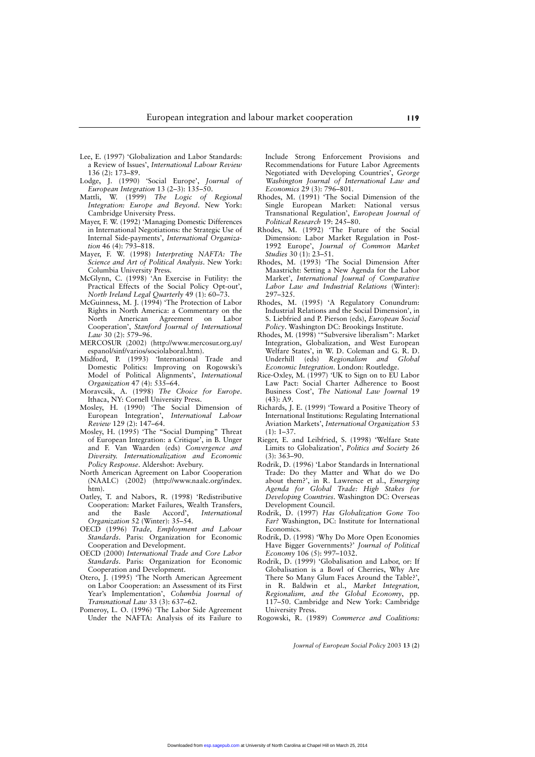- Lee, E. (1997) 'Globalization and Labor Standards: a Review of Issues', *International Labour Review* 136 (2): 173–89.
- Lodge, J. (1990) 'Social Europe', *Journal of European Integration* 13 (2–3): 135–50.
- Mattli, W. (1999) *The Logic of Regional Integration: Europe and Beyond*. New York: Cambridge University Press.
- Mayer, F. W. (1992) 'Managing Domestic Differences in International Negotiations: the Strategic Use of Internal Side-payments', *International Organization* 46 (4): 793–818.
- Mayer, F. W. (1998) *Interpreting NAFTA: The Science and Art of Political Analysis*. New York: Columbia University Press.
- McGlynn, C. (1998) 'An Exercise in Futility: the Practical Effects of the Social Policy Opt-out', *North Ireland Legal Quarterly* 49 (1): 60–73.
- McGuinness, M. J. (1994) 'The Protection of Labor Rights in North America: a Commentary on the Agreement on Labor Cooperation', *Stanford Journal of International Law* 30 (2): 579–96.
- MERCOSUR (2002) (http://www.mercosur.org.uy/ espanol/sinf/varios/sociolaboral.htm).
- Midford, P. (1993) 'International Trade and Domestic Politics: Improving on Rogowski's Model of Political Alignments', *International Organization* 47 (4): 535–64.
- Moravcsik, A. (1998) *The Choice for Europe*. Ithaca, NY: Cornell University Press.
- Mosley, H. (1990) 'The Social Dimension of European Integration', *International Labour Review* 129 (2): 147–64.
- Mosley, H. (1995) 'The "Social Dumping" Threat of European Integration: a Critique', in B. Unger and F. Van Waarden (eds) *Convergence and Diversity. Internationalization and Economic Policy Response*. Aldershot: Avebury.
- North American Agreement on Labor Cooperation (NAALC) (2002) (http://www.naalc.org/index. htm).
- Oatley, T. and Nabors, R. (1998) 'Redistributive Cooperation: Market Failures, Wealth Transfers, and the Basle Accord', *International Organization* 52 (Winter): 35–54.
- OECD (1996) *Trade, Employment and Labour Standards*. Paris: Organization for Economic Cooperation and Development.
- OECD (2000) *International Trade and Core Labor Standards*. Paris: Organization for Economic Cooperation and Development.
- Otero, J. (1995) 'The North American Agreement on Labor Cooperation: an Assessment of its First Year's Implementation', *Columbia Journal of Transnational Law* 33 (3): 637–62.
- Pomeroy, L. O. (1996) 'The Labor Side Agreement Under the NAFTA: Analysis of its Failure to

Include Strong Enforcement Provisions and Recommendations for Future Labor Agreements Negotiated with Developing Countries', *George Washington Journal of International Law and Economics* 29 (3): 796-801.

- Rhodes, M. (1991) 'The Social Dimension of the Single European Market: National versus Transnational Regulation', *European Journal of Political Research* 19: 245–80.
- Rhodes, M. (1992) 'The Future of the Social Dimension: Labor Market Regulation in Post-1992 Europe', *Journal of Common Market Studies* 30 (1): 23–51.
- Rhodes, M. (1993) 'The Social Dimension After Maastricht: Setting a New Agenda for the Labor Market', *International Journal of Comparative Labor Law and Industrial Relations* (Winter): 297–325.
- Rhodes, M. (1995) 'A Regulatory Conundrum: Industrial Relations and the Social Dimension', in S. Liebfried and P. Pierson (eds), *European Social Policy*. Washington DC: Brookings Institute.
- Rhodes, M. (1998) '"Subversive liberalism": Market Integration, Globalization, and West European Welfare States', in W. D. Coleman and G. R. D.<br>Underhill (eds) Regionalism and Global Underhill (eds) *Regionalism and Economic Integration*. London: Routledge.
- Rice-Oxley, M. (1997) 'UK to Sign on to EU Labor Law Pact: Social Charter Adherence to Boost Business Cost', *The National Law Journal* 19 (43): A9.
- Richards, J. E. (1999) 'Toward a Positive Theory of International Institutions: Regulating International Aviation Markets', *International Organization* 53  $(1): 1-37.$
- Rieger, E. and Leibfried, S. (1998) 'Welfare State Limits to Globalization', *Politics and Society* 26 (3): 363–90.
- Rodrik, D. (1996) 'Labor Standards in International Trade: Do they Matter and What do we Do about them?', in R. Lawrence et al., *Emerging Agenda for Global Trade: High Stakes for Developing Countries*. Washington DC: Overseas Development Council.
- Rodrik, D. (1997) *Has Globalization Gone Too Far?* Washington, DC: Institute for International Economics.
- Rodrik, D. (1998) 'Why Do More Open Economies Have Bigger Governments?' *Journal of Political Economy* 106 (5): 997–1032.
- Rodrik, D. (1999) 'Globalisation and Labor, or: If Globalisation is a Bowl of Cherries, Why Are There So Many Glum Faces Around the Table?', in R. Baldwin et al., *Market Integration, Regionalism, and the Global Economy*, pp. 117–50. Cambridge and New York: Cambridge University Press.
- Rogowski, R. (1989) *Commerce and Coalitions:*